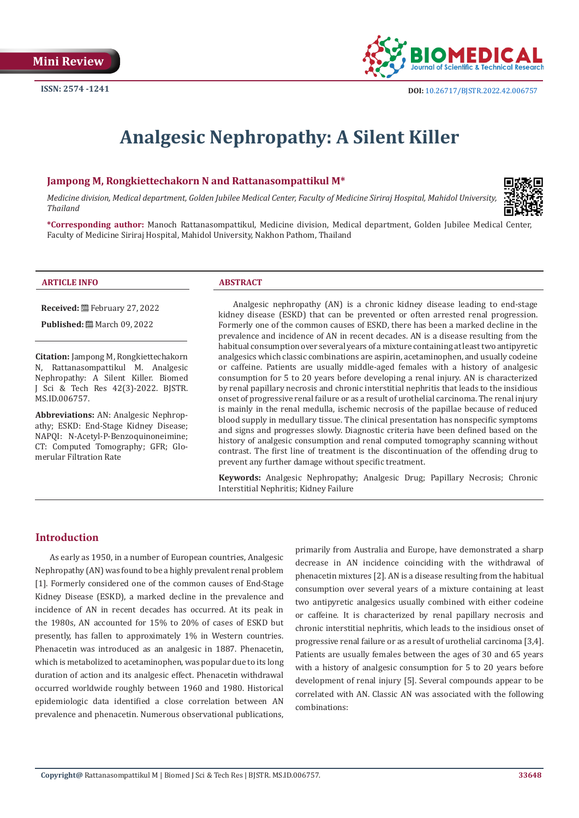

# **Analgesic Nephropathy: A Silent Killer**

#### **Jampong M, Rongkiettechakorn N and Rattanasompattikul M\***

*Medicine division, Medical department, Golden Jubilee Medical Center, Faculty of Medicine Siriraj Hospital, Mahidol University, Thailand*



**\*Corresponding author:** Manoch Rattanasompattikul, Medicine division, Medical department, Golden Jubilee Medical Center, Faculty of Medicine Siriraj Hospital, Mahidol University, Nakhon Pathom, Thailand

#### **ARTICLE INFO ABSTRACT**

**Received:** February 27, 2022

**Published:** ■ March 09, 2022

**Citation:** Jampong M, Rongkiettechakorn N, Rattanasompattikul M. Analgesic Nephropathy: A Silent Killer. Biomed J Sci & Tech Res 42(3)-2022. BJSTR. MS.ID.006757.

**Abbreviations:** AN: Analgesic Nephropathy; ESKD: End-Stage Kidney Disease; NAPQI: N-Acetyl-P-Benzoquinoneimine; CT: Computed Tomography; GFR; Glomerular Filtration Rate

Analgesic nephropathy (AN) is a chronic kidney disease leading to end-stage kidney disease (ESKD) that can be prevented or often arrested renal progression. Formerly one of the common causes of ESKD, there has been a marked decline in the prevalence and incidence of AN in recent decades. AN is a disease resulting from the habitual consumption over several years of a mixture containing at least two antipyretic analgesics which classic combinations are aspirin, acetaminophen, and usually codeine or caffeine. Patients are usually middle-aged females with a history of analgesic consumption for 5 to 20 years before developing a renal injury. AN is characterized by renal papillary necrosis and chronic interstitial nephritis that leads to the insidious onset of progressive renal failure or as a result of urothelial carcinoma. The renal injury is mainly in the renal medulla, ischemic necrosis of the papillae because of reduced blood supply in medullary tissue. The clinical presentation has nonspecific symptoms and signs and progresses slowly. Diagnostic criteria have been defined based on the history of analgesic consumption and renal computed tomography scanning without contrast. The first line of treatment is the discontinuation of the offending drug to prevent any further damage without specific treatment.

**Keywords:** Analgesic Nephropathy; Analgesic Drug; Papillary Necrosis; Chronic Interstitial Nephritis; Kidney Failure

#### **Introduction**

As early as 1950, in a number of European countries, Analgesic Nephropathy (AN) was found to be a highly prevalent renal problem [1]. Formerly considered one of the common causes of End-Stage Kidney Disease (ESKD), a marked decline in the prevalence and incidence of AN in recent decades has occurred. At its peak in the 1980s, AN accounted for 15% to 20% of cases of ESKD but presently, has fallen to approximately 1% in Western countries. Phenacetin was introduced as an analgesic in 1887. Phenacetin, which is metabolized to acetaminophen, was popular due to its long duration of action and its analgesic effect. Phenacetin withdrawal occurred worldwide roughly between 1960 and 1980. Historical epidemiologic data identified a close correlation between AN prevalence and phenacetin. Numerous observational publications, primarily from Australia and Europe, have demonstrated a sharp decrease in AN incidence coinciding with the withdrawal of phenacetin mixtures [2]. AN is a disease resulting from the habitual consumption over several years of a mixture containing at least two antipyretic analgesics usually combined with either codeine or caffeine. It is characterized by renal papillary necrosis and chronic interstitial nephritis, which leads to the insidious onset of progressive renal failure or as a result of urothelial carcinoma [3,4]. Patients are usually females between the ages of 30 and 65 years with a history of analgesic consumption for 5 to 20 years before development of renal injury [5]. Several compounds appear to be correlated with AN. Classic AN was associated with the following combinations: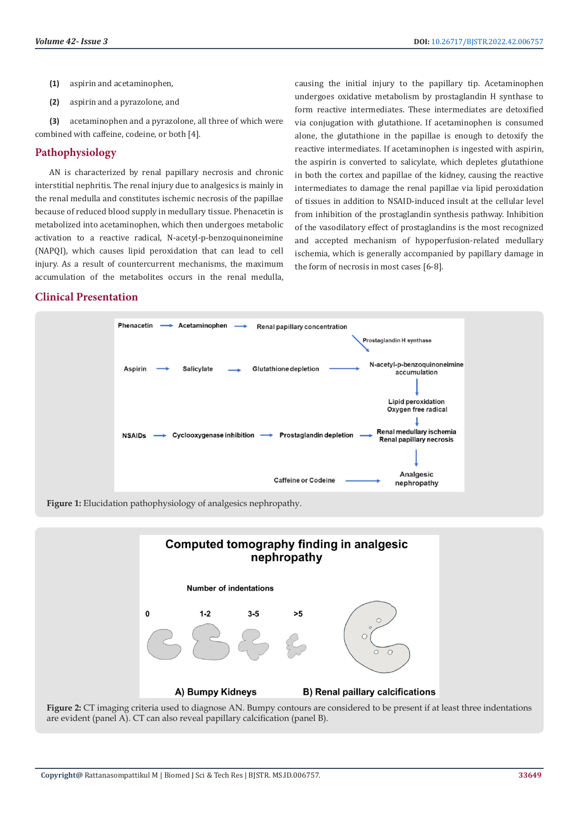- **(1)** aspirin and acetaminophen,
- **(2)** aspirin and a pyrazolone, and

**(3)** acetaminophen and a pyrazolone, all three of which were combined with caffeine, codeine, or both [4].

#### **Pathophysiology**

AN is characterized by renal papillary necrosis and chronic interstitial nephritis. The renal injury due to analgesics is mainly in the renal medulla and constitutes ischemic necrosis of the papillae because of reduced blood supply in medullary tissue. Phenacetin is metabolized into acetaminophen, which then undergoes metabolic activation to a reactive radical, N-acetyl-p-benzoquinoneimine (NAPQI), which causes lipid peroxidation that can lead to cell injury. As a result of countercurrent mechanisms, the maximum accumulation of the metabolites occurs in the renal medulla,

## **Clinical Presentation**

causing the initial injury to the papillary tip. Acetaminophen undergoes oxidative metabolism by prostaglandin H synthase to form reactive intermediates. These intermediates are detoxified via conjugation with glutathione. If acetaminophen is consumed alone, the glutathione in the papillae is enough to detoxify the reactive intermediates. If acetaminophen is ingested with aspirin, the aspirin is converted to salicylate, which depletes glutathione in both the cortex and papillae of the kidney, causing the reactive intermediates to damage the renal papillae via lipid peroxidation of tissues in addition to NSAID-induced insult at the cellular level from inhibition of the prostaglandin synthesis pathway. Inhibition of the vasodilatory effect of prostaglandins is the most recognized and accepted mechanism of hypoperfusion-related medullary ischemia, which is generally accompanied by papillary damage in the form of necrosis in most cases [6-8].



**Figure 1:** Elucidation pathophysiology of analgesics nephropathy.



**Figure 2:** CT imaging criteria used to diagnose AN. Bumpy contours are considered to be present if at least three indentations are evident (panel A). CT can also reveal papillary calcification (panel B).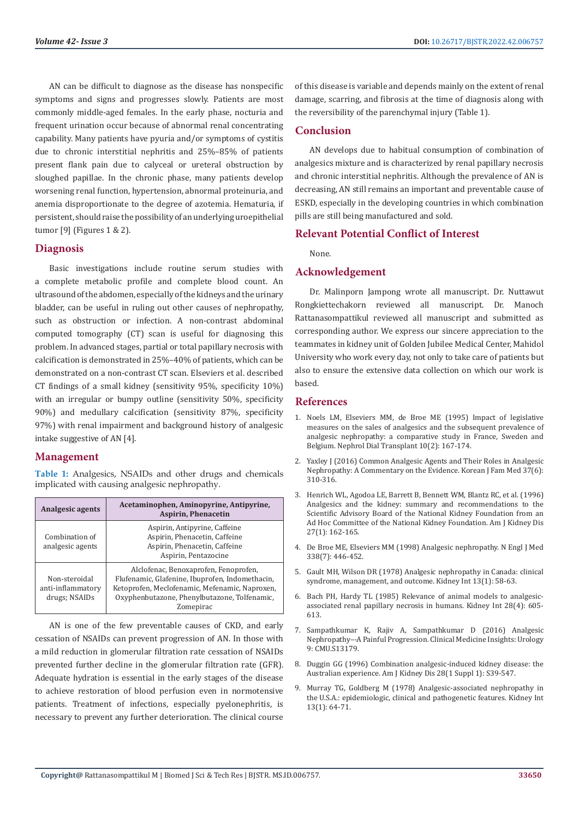AN can be difficult to diagnose as the disease has nonspecific symptoms and signs and progresses slowly. Patients are most commonly middle-aged females. In the early phase, nocturia and frequent urination occur because of abnormal renal concentrating capability. Many patients have pyuria and/or symptoms of cystitis due to chronic interstitial nephritis and 25%–85% of patients present flank pain due to calyceal or ureteral obstruction by sloughed papillae. In the chronic phase, many patients develop worsening renal function, hypertension, abnormal proteinuria, and anemia disproportionate to the degree of azotemia. Hematuria, if persistent, should raise the possibility of an underlying uroepithelial tumor [9] (Figures 1 & 2).

## **Diagnosis**

Basic investigations include routine serum studies with a complete metabolic profile and complete blood count. An ultrasound of the abdomen, especially of the kidneys and the urinary bladder, can be useful in ruling out other causes of nephropathy, such as obstruction or infection. A non-contrast abdominal computed tomography (CT) scan is useful for diagnosing this problem. In advanced stages, partial or total papillary necrosis with calcification is demonstrated in 25%–40% of patients, which can be demonstrated on a non-contrast CT scan. Elseviers et al. described CT findings of a small kidney (sensitivity 95%, specificity 10%) with an irregular or bumpy outline (sensitivity 50%, specificity 90%) and medullary calcification (sensitivity 87%, specificity 97%) with renal impairment and background history of analgesic intake suggestive of AN [4].

## **Management**

**Table 1:** Analgesics, NSAIDs and other drugs and chemicals implicated with causing analgesic nephropathy.

| Analgesic agents                                    | Acetaminophen, Aminopyrine, Antipyrine,<br>Aspirin, Phenacetin                                                                                                                                          |
|-----------------------------------------------------|---------------------------------------------------------------------------------------------------------------------------------------------------------------------------------------------------------|
| Combination of<br>analgesic agents                  | Aspirin, Antipyrine, Caffeine<br>Aspirin, Phenacetin, Caffeine<br>Aspirin, Phenacetin, Caffeine<br>Aspirin, Pentazocine                                                                                 |
| Non-steroidal<br>anti-inflammatory<br>drugs; NSAIDs | Alclofenac, Benoxaprofen, Fenoprofen,<br>Flufenamic, Glafenine, Ibuprofen, Indomethacin,<br>Ketoprofen, Meclofenamic, Mefenamic, Naproxen,<br>Oxyphenbutazone, Phenylbutazone, Tolfenamic,<br>Zomepirac |

AN is one of the few preventable causes of CKD, and early cessation of NSAIDs can prevent progression of AN. In those with a mild reduction in glomerular filtration rate cessation of NSAIDs prevented further decline in the glomerular filtration rate (GFR). Adequate hydration is essential in the early stages of the disease to achieve restoration of blood perfusion even in normotensive patients. Treatment of infections, especially pyelonephritis, is necessary to prevent any further deterioration. The clinical course

of this disease is variable and depends mainly on the extent of renal damage, scarring, and fibrosis at the time of diagnosis along with the reversibility of the parenchymal injury (Table 1).

## **Conclusion**

AN develops due to habitual consumption of combination of analgesics mixture and is characterized by renal papillary necrosis and chronic interstitial nephritis. Although the prevalence of AN is decreasing, AN still remains an important and preventable cause of ESKD, especially in the developing countries in which combination pills are still being manufactured and sold.

## **Relevant Potential Conflict of Interest**

None.

#### **Acknowledgement**

Dr. Malinporn Jampong wrote all manuscript. Dr. Nuttawut Rongkiettechakorn reviewed all manuscript. Dr. Manoch Rattanasompattikul reviewed all manuscript and submitted as corresponding author. We express our sincere appreciation to the teammates in kidney unit of Golden Jubilee Medical Center, Mahidol University who work every day, not only to take care of patients but also to ensure the extensive data collection on which our work is based.

## **References**

- 1. [Noels LM, Elseviers MM, de Broe ME \(1995\) Impact of legislative](https://academic.oup.com/ndt/article-abstract/10/2/167/1812861) [measures on the sales of analgesics and the subsequent prevalence of](https://academic.oup.com/ndt/article-abstract/10/2/167/1812861) [analgesic nephropathy: a comparative study in France, Sweden and](https://academic.oup.com/ndt/article-abstract/10/2/167/1812861) [Belgium. Nephrol Dial Transplant 10\(2\): 167-174.](https://academic.oup.com/ndt/article-abstract/10/2/167/1812861)
- 2. [Yaxley J \(2016\) Common Analgesic Agents and Their Roles in Analgesic](https://pubmed.ncbi.nlm.nih.gov/27900067/) [Nephropathy: A Commentary on the Evidence. Korean J Fam Med 37\(6\):](https://pubmed.ncbi.nlm.nih.gov/27900067/) [310-316.](https://pubmed.ncbi.nlm.nih.gov/27900067/)
- 3. [Henrich WL, Agodoa LE, Barrett B, Bennett WM, Blantz RC, et al. \(1996\)](https://pubmed.ncbi.nlm.nih.gov/8546133/) [Analgesics and the kidney: summary and recommendations to the](https://pubmed.ncbi.nlm.nih.gov/8546133/) [Scientific Advisory Board of the National Kidney Foundation from an](https://pubmed.ncbi.nlm.nih.gov/8546133/) [Ad Hoc Committee of the National Kidney Foundation. Am J Kidney Dis](https://pubmed.ncbi.nlm.nih.gov/8546133/) [27\(1\): 162-165.](https://pubmed.ncbi.nlm.nih.gov/8546133/)
- 4. [De Broe ME, Elseviers MM \(1998\) Analgesic nephropathy. N Engl J Med](https://pubmed.ncbi.nlm.nih.gov/9459649/) [338\(7\): 446-452.](https://pubmed.ncbi.nlm.nih.gov/9459649/)
- 5. [Gault MH, Wilson DR \(1978\) Analgesic nephropathy in Canada: clinical](https://pdf.sciencedirectassets.com/313527/1-s2.0-S0085253878X31000/1-s2.0-S0085253815318524/main.pdf?X-Amz-Security-Token=IQoJb3JpZ2luX2VjEFEaCXVzLWVhc3QtMSJGMEQCIH5QZV6BF%2FJjF0kYZUKI0duMmO6v2PdkPfjzTwrgjIt6AiAeS6tPOHMyfNSyvsWDWCkxlsknQusqabyqrlT7dtGxFSqDBAi6%2F%2F%2F%2F%2F%2F%2F%2F%2F%2F8BEAQaDDA1OTAwMzU0Njg2NSIM%2BofsXH1wmOt7pmitKtcDI1y1TrPRp3g0usKe%2Bgp%2FCP0x7bIE6jz8U9gNWvgXcRGGZsogbpRbPdtqdOqMM1HoapHjqkzsJGqUgzPNm1c%2F0hBXiMTVvKQ9Po0xcb2T%2FOEZXHXeSwf13ilqWhQwOYtfBPcJ9k9Ua1Ayw4vSx0Ouvu75y%2Ffhdtw9C8Zql7Z1XV6mtV2KdH%2FvnNYBAbBj5rXAaepGLPEzYXW36R%2BNWns8PJqIiuoJr1aBaGEfqTN4NBbqBvs%2BSLntPDf4hCNp30zLaAqJ3SiW3zH2LCKmDB3Ut%2BXqlhZY87v%2Fh9z0SFH3w%2BKWxlzeoSN8pdL43OWnZH7xjl9LrHGyILue88YdF%2FVpIoGyp743p5ROAdgeomQZRDCyn%2FCjGNMWeoSU%2BtBsz8a%2FY7qD7eVuvxdfSNL2VHqQ8yJnvOfa59%2F3amRlrmtvGaS5lytJQy2K0JQBGYR5YCFN4nuHYoxr4HZrlybqVLxWRi9gSlz685ysCz5o%2F1CdT43LDce8TSlH%2BzHRuEOsLxbyrKLgFSWSu9j0DQd6hPxq3h3facqVKIFppshUsFnCYDcsf3dhcoebzFtWGL2NQb3qeqdTNT7c7l3toZzUoh0uVv%2FIECgr3K1G11YOF36o0UfQyIaZgI4EMOilnJEGOqYBYj5vNT0bI0flxorzFsPIdw3OrcAjaXK%2FFK9l4goOglLq1gGGYfQ0Yjs3K7xSi31knBcHh%2Bt%2F%2BDnPoKOjHgxwUpZjhGSjPtG2ddbPLXX14HGygN6I67SnbSWlYnGTx0A94m54XQDAmzBe3wuvooWb0WGLKT%2BeQRKderLtUnrKOjlE6AW9tp8eqrPZFV9hiX8QQOWceJQfuwHsaMGBtBKIeuQFY5kxYQ%3D%3D&X-Amz-Algorithm=AWS4-HMAC-SHA256&X-Amz-Date=20220308T100948Z&X-Amz-SignedHeaders=host&X-Amz-Expires=300&X-Amz-Credential=ASIAQ3PHCVTYRYWFMQXE%2F20220308%2Fus-east-1%2Fs3%2Faws4_request&X-Amz-Signature=8bc7b8c9b583510758db510fd96562aa7a5328146f3a04de759d3fcdd805515b&hash=9efa9a55e377e895c981b8eacb8bf2d1045f5abd5ba2064d980e45dfcca2870c&host=68042c943591013ac2b2430a89b270f6af2c76d8dfd086a07176afe7c76c2c61&pii=S0085253815318524&tid=spdf-7be58e56-ca76-4353-bfb1-ed2304ed9446&sid=687bcd3730e5884f564848f08e06bf3e7a78gxrqb&type=client&ua=57045e030c57515d52&rr=6e8ac7022a980694) [syndrome, management, and outcome. Kidney Int 13\(1\): 58-63.](https://pdf.sciencedirectassets.com/313527/1-s2.0-S0085253878X31000/1-s2.0-S0085253815318524/main.pdf?X-Amz-Security-Token=IQoJb3JpZ2luX2VjEFEaCXVzLWVhc3QtMSJGMEQCIH5QZV6BF%2FJjF0kYZUKI0duMmO6v2PdkPfjzTwrgjIt6AiAeS6tPOHMyfNSyvsWDWCkxlsknQusqabyqrlT7dtGxFSqDBAi6%2F%2F%2F%2F%2F%2F%2F%2F%2F%2F8BEAQaDDA1OTAwMzU0Njg2NSIM%2BofsXH1wmOt7pmitKtcDI1y1TrPRp3g0usKe%2Bgp%2FCP0x7bIE6jz8U9gNWvgXcRGGZsogbpRbPdtqdOqMM1HoapHjqkzsJGqUgzPNm1c%2F0hBXiMTVvKQ9Po0xcb2T%2FOEZXHXeSwf13ilqWhQwOYtfBPcJ9k9Ua1Ayw4vSx0Ouvu75y%2Ffhdtw9C8Zql7Z1XV6mtV2KdH%2FvnNYBAbBj5rXAaepGLPEzYXW36R%2BNWns8PJqIiuoJr1aBaGEfqTN4NBbqBvs%2BSLntPDf4hCNp30zLaAqJ3SiW3zH2LCKmDB3Ut%2BXqlhZY87v%2Fh9z0SFH3w%2BKWxlzeoSN8pdL43OWnZH7xjl9LrHGyILue88YdF%2FVpIoGyp743p5ROAdgeomQZRDCyn%2FCjGNMWeoSU%2BtBsz8a%2FY7qD7eVuvxdfSNL2VHqQ8yJnvOfa59%2F3amRlrmtvGaS5lytJQy2K0JQBGYR5YCFN4nuHYoxr4HZrlybqVLxWRi9gSlz685ysCz5o%2F1CdT43LDce8TSlH%2BzHRuEOsLxbyrKLgFSWSu9j0DQd6hPxq3h3facqVKIFppshUsFnCYDcsf3dhcoebzFtWGL2NQb3qeqdTNT7c7l3toZzUoh0uVv%2FIECgr3K1G11YOF36o0UfQyIaZgI4EMOilnJEGOqYBYj5vNT0bI0flxorzFsPIdw3OrcAjaXK%2FFK9l4goOglLq1gGGYfQ0Yjs3K7xSi31knBcHh%2Bt%2F%2BDnPoKOjHgxwUpZjhGSjPtG2ddbPLXX14HGygN6I67SnbSWlYnGTx0A94m54XQDAmzBe3wuvooWb0WGLKT%2BeQRKderLtUnrKOjlE6AW9tp8eqrPZFV9hiX8QQOWceJQfuwHsaMGBtBKIeuQFY5kxYQ%3D%3D&X-Amz-Algorithm=AWS4-HMAC-SHA256&X-Amz-Date=20220308T100948Z&X-Amz-SignedHeaders=host&X-Amz-Expires=300&X-Amz-Credential=ASIAQ3PHCVTYRYWFMQXE%2F20220308%2Fus-east-1%2Fs3%2Faws4_request&X-Amz-Signature=8bc7b8c9b583510758db510fd96562aa7a5328146f3a04de759d3fcdd805515b&hash=9efa9a55e377e895c981b8eacb8bf2d1045f5abd5ba2064d980e45dfcca2870c&host=68042c943591013ac2b2430a89b270f6af2c76d8dfd086a07176afe7c76c2c61&pii=S0085253815318524&tid=spdf-7be58e56-ca76-4353-bfb1-ed2304ed9446&sid=687bcd3730e5884f564848f08e06bf3e7a78gxrqb&type=client&ua=57045e030c57515d52&rr=6e8ac7022a980694)
- 6. [Bach PH, Hardy TL \(1985\) Relevance of animal models to analgesic](https://pubmed.ncbi.nlm.nih.gov/3910912/)[associated renal papillary necrosis in humans. Kidney Int 28\(4\): 605-](https://pubmed.ncbi.nlm.nih.gov/3910912/) [613.](https://pubmed.ncbi.nlm.nih.gov/3910912/)
- 7. [Sampathkumar K, Rajiv A, Sampathkumar D \(2016\) Analgesic](https://journals.sagepub.com/doi/full/10.4137/CMU.S13179) [Nephropathy–-A Painful Progression. Clinical Medicine Insights: Urology](https://journals.sagepub.com/doi/full/10.4137/CMU.S13179) [9: CMU.S13179.](https://journals.sagepub.com/doi/full/10.4137/CMU.S13179)
- 8. [Duggin GG \(1996\) Combination analgesic-induced kidney disease: the](https://pubmed.ncbi.nlm.nih.gov/8669429/) [Australian experience. Am J Kidney Dis 28\(1 Suppl 1\): S39-547.](https://pubmed.ncbi.nlm.nih.gov/8669429/)
- 9. [Murray TG, Goldberg M \(1978\) Analgesic-associated nephropathy in](https://pubmed.ncbi.nlm.nih.gov/713270/) [the U.S.A.: epidemiologic, clinical and pathogenetic features. Kidney Int](https://pubmed.ncbi.nlm.nih.gov/713270/) [13\(1\): 64-71.](https://pubmed.ncbi.nlm.nih.gov/713270/)